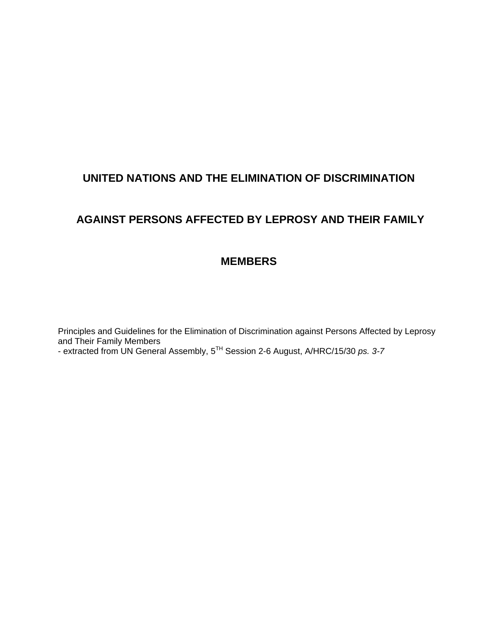# **UNITED NATIONS AND THE ELIMINATION OF DISCRIMINATION**

# **AGAINST PERSONS AFFECTED BY LEPROSY AND THEIR FAMILY**

# **MEMBERS**

Principles and Guidelines for the Elimination of Discrimination against Persons Affected by Leprosy and Their Family Members

- extracted from UN General Assembly, 5TH Session 2-6 August, A/HRC/15/30 *ps. 3-7*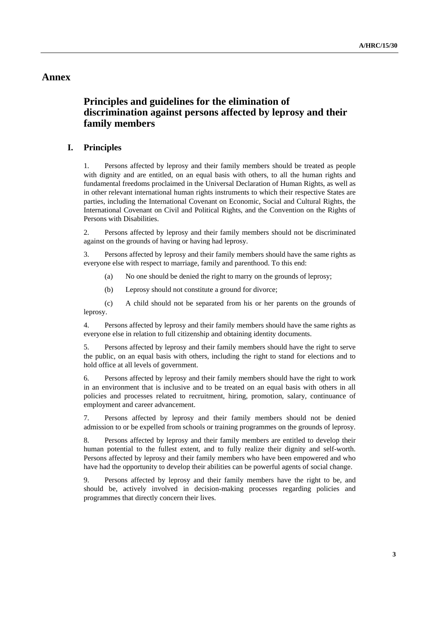# **Annex**

# **Principles and guidelines for the elimination of discrimination against persons affected by leprosy and their family members**

# **I. Principles**

1. Persons affected by leprosy and their family members should be treated as people with dignity and are entitled, on an equal basis with others, to all the human rights and fundamental freedoms proclaimed in the Universal Declaration of Human Rights, as well as in other relevant international human rights instruments to which their respective States are parties, including the International Covenant on Economic, Social and Cultural Rights, the International Covenant on Civil and Political Rights, and the Convention on the Rights of Persons with Disabilities.

2. Persons affected by leprosy and their family members should not be discriminated against on the grounds of having or having had leprosy.

3. Persons affected by leprosy and their family members should have the same rights as everyone else with respect to marriage, family and parenthood. To this end:

(a) No one should be denied the right to marry on the grounds of leprosy;

(b) Leprosy should not constitute a ground for divorce;

(c) A child should not be separated from his or her parents on the grounds of leprosy.

4. Persons affected by leprosy and their family members should have the same rights as everyone else in relation to full citizenship and obtaining identity documents.

5. Persons affected by leprosy and their family members should have the right to serve the public, on an equal basis with others, including the right to stand for elections and to hold office at all levels of government.

6. Persons affected by leprosy and their family members should have the right to work in an environment that is inclusive and to be treated on an equal basis with others in all policies and processes related to recruitment, hiring, promotion, salary, continuance of employment and career advancement.

7. Persons affected by leprosy and their family members should not be denied admission to or be expelled from schools or training programmes on the grounds of leprosy.

8. Persons affected by leprosy and their family members are entitled to develop their human potential to the fullest extent, and to fully realize their dignity and self-worth. Persons affected by leprosy and their family members who have been empowered and who have had the opportunity to develop their abilities can be powerful agents of social change.

9. Persons affected by leprosy and their family members have the right to be, and should be, actively involved in decision-making processes regarding policies and programmes that directly concern their lives.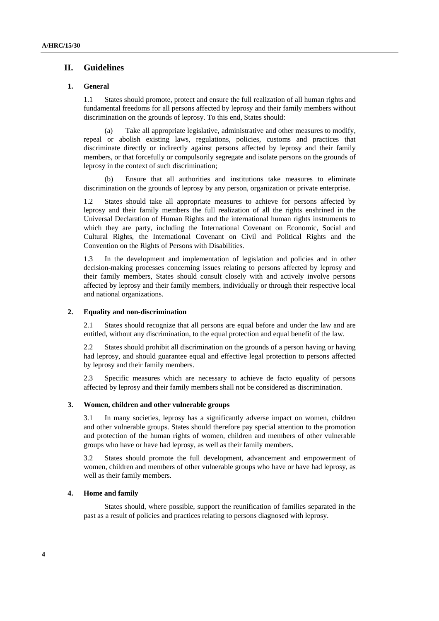# **II. Guidelines**

## **1. General**

1.1 States should promote, protect and ensure the full realization of all human rights and fundamental freedoms for all persons affected by leprosy and their family members without discrimination on the grounds of leprosy. To this end, States should:

Take all appropriate legislative, administrative and other measures to modify, repeal or abolish existing laws, regulations, policies, customs and practices that discriminate directly or indirectly against persons affected by leprosy and their family members, or that forcefully or compulsorily segregate and isolate persons on the grounds of leprosy in the context of such discrimination;

(b) Ensure that all authorities and institutions take measures to eliminate discrimination on the grounds of leprosy by any person, organization or private enterprise.

1.2 States should take all appropriate measures to achieve for persons affected by leprosy and their family members the full realization of all the rights enshrined in the Universal Declaration of Human Rights and the international human rights instruments to which they are party, including the International Covenant on Economic, Social and Cultural Rights, the International Covenant on Civil and Political Rights and the Convention on the Rights of Persons with Disabilities.

1.3 In the development and implementation of legislation and policies and in other decision-making processes concerning issues relating to persons affected by leprosy and their family members, States should consult closely with and actively involve persons affected by leprosy and their family members, individually or through their respective local and national organizations.

## **2. Equality and non-discrimination**

2.1 States should recognize that all persons are equal before and under the law and are entitled, without any discrimination, to the equal protection and equal benefit of the law.

2.2 States should prohibit all discrimination on the grounds of a person having or having had leprosy, and should guarantee equal and effective legal protection to persons affected by leprosy and their family members.

2.3 Specific measures which are necessary to achieve de facto equality of persons affected by leprosy and their family members shall not be considered as discrimination.

#### **3. Women, children and other vulnerable groups**

3.1 In many societies, leprosy has a significantly adverse impact on women, children and other vulnerable groups. States should therefore pay special attention to the promotion and protection of the human rights of women, children and members of other vulnerable groups who have or have had leprosy, as well as their family members.

3.2 States should promote the full development, advancement and empowerment of women, children and members of other vulnerable groups who have or have had leprosy, as well as their family members.

#### **4. Home and family**

States should, where possible, support the reunification of families separated in the past as a result of policies and practices relating to persons diagnosed with leprosy.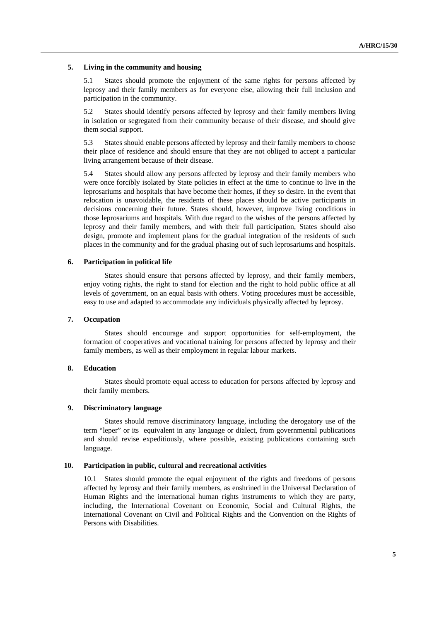#### **5. Living in the community and housing**

5.1 States should promote the enjoyment of the same rights for persons affected by leprosy and their family members as for everyone else, allowing their full inclusion and participation in the community.

5.2 States should identify persons affected by leprosy and their family members living in isolation or segregated from their community because of their disease, and should give them social support.

5.3 States should enable persons affected by leprosy and their family members to choose their place of residence and should ensure that they are not obliged to accept a particular living arrangement because of their disease.

5.4 States should allow any persons affected by leprosy and their family members who were once forcibly isolated by State policies in effect at the time to continue to live in the leprosariums and hospitals that have become their homes, if they so desire. In the event that relocation is unavoidable, the residents of these places should be active participants in decisions concerning their future. States should, however, improve living conditions in those leprosariums and hospitals. With due regard to the wishes of the persons affected by leprosy and their family members, and with their full participation, States should also design, promote and implement plans for the gradual integration of the residents of such places in the community and for the gradual phasing out of such leprosariums and hospitals.

## **6. Participation in political life**

States should ensure that persons affected by leprosy, and their family members, enjoy voting rights, the right to stand for election and the right to hold public office at all levels of government, on an equal basis with others. Voting procedures must be accessible, easy to use and adapted to accommodate any individuals physically affected by leprosy.

## **7. Occupation**

States should encourage and support opportunities for self-employment, the formation of cooperatives and vocational training for persons affected by leprosy and their family members, as well as their employment in regular labour markets.

#### **8. Education**

States should promote equal access to education for persons affected by leprosy and their family members.

### **9. Discriminatory language**

States should remove discriminatory language, including the derogatory use of the term "leper" or its equivalent in any language or dialect, from governmental publications and should revise expeditiously, where possible, existing publications containing such language.

#### **10. Participation in public, cultural and recreational activities**

10.1 States should promote the equal enjoyment of the rights and freedoms of persons affected by leprosy and their family members, as enshrined in the Universal Declaration of Human Rights and the international human rights instruments to which they are party, including, the International Covenant on Economic, Social and Cultural Rights, the International Covenant on Civil and Political Rights and the Convention on the Rights of Persons with Disabilities.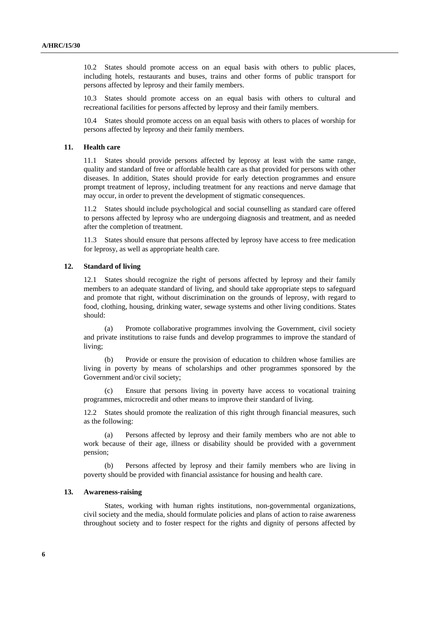10.2 States should promote access on an equal basis with others to public places, including hotels, restaurants and buses, trains and other forms of public transport for persons affected by leprosy and their family members.

10.3 States should promote access on an equal basis with others to cultural and recreational facilities for persons affected by leprosy and their family members.

10.4 States should promote access on an equal basis with others to places of worship for persons affected by leprosy and their family members.

#### **11. Health care**

11.1 States should provide persons affected by leprosy at least with the same range, quality and standard of free or affordable health care as that provided for persons with other diseases. In addition, States should provide for early detection programmes and ensure prompt treatment of leprosy, including treatment for any reactions and nerve damage that may occur, in order to prevent the development of stigmatic consequences.

11.2 States should include psychological and social counselling as standard care offered to persons affected by leprosy who are undergoing diagnosis and treatment, and as needed after the completion of treatment.

11.3 States should ensure that persons affected by leprosy have access to free medication for leprosy, as well as appropriate health care.

#### **12. Standard of living**

12.1 States should recognize the right of persons affected by leprosy and their family members to an adequate standard of living, and should take appropriate steps to safeguard and promote that right, without discrimination on the grounds of leprosy, with regard to food, clothing, housing, drinking water, sewage systems and other living conditions. States should:

Promote collaborative programmes involving the Government, civil society and private institutions to raise funds and develop programmes to improve the standard of living;

(b) Provide or ensure the provision of education to children whose families are living in poverty by means of scholarships and other programmes sponsored by the Government and/or civil society;

(c) Ensure that persons living in poverty have access to vocational training programmes, microcredit and other means to improve their standard of living.

12.2 States should promote the realization of this right through financial measures, such as the following:

(a) Persons affected by leprosy and their family members who are not able to work because of their age, illness or disability should be provided with a government pension;

(b) Persons affected by leprosy and their family members who are living in poverty should be provided with financial assistance for housing and health care.

## **13. Awareness-raising**

States, working with human rights institutions, non-governmental organizations, civil society and the media, should formulate policies and plans of action to raise awareness throughout society and to foster respect for the rights and dignity of persons affected by